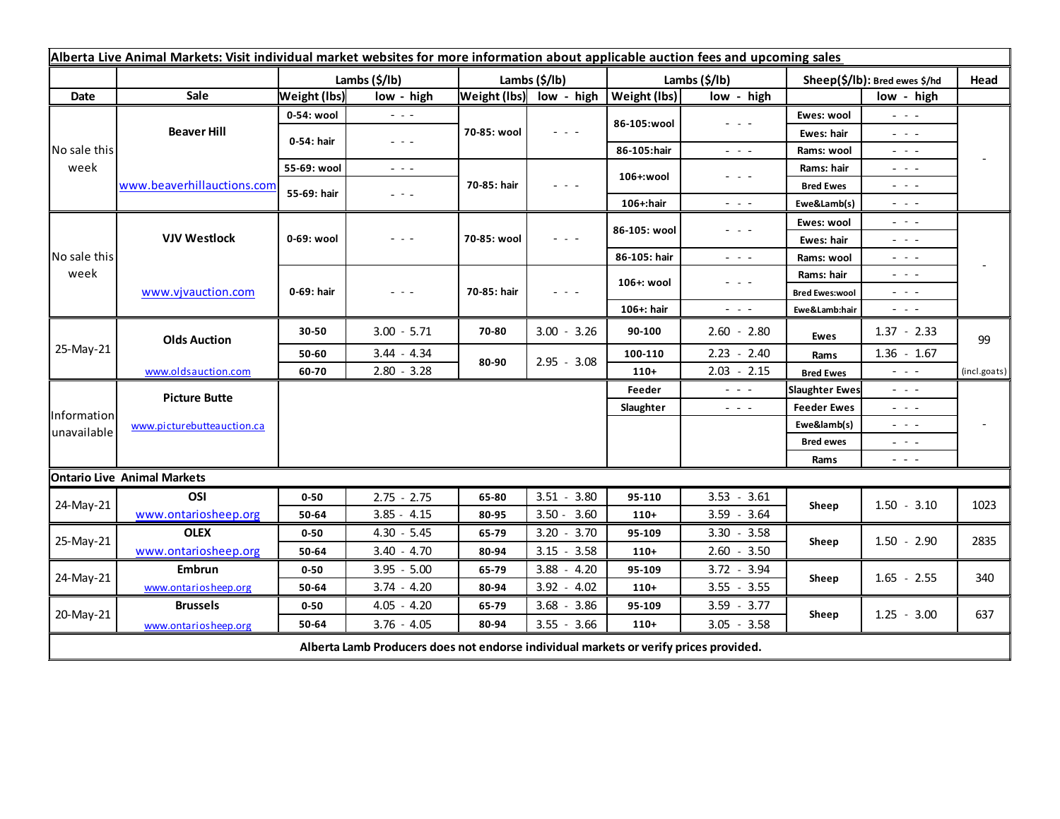| Alberta Live Animal Markets: Visit individual market websites for more information about applicable auction fees and upcoming sales |                                           |                     |                                                                                                                        |               |                         |                     |                                                                                                                                                                                                                                                                                                                                                                                                                                                |                               |                                     |              |
|-------------------------------------------------------------------------------------------------------------------------------------|-------------------------------------------|---------------------|------------------------------------------------------------------------------------------------------------------------|---------------|-------------------------|---------------------|------------------------------------------------------------------------------------------------------------------------------------------------------------------------------------------------------------------------------------------------------------------------------------------------------------------------------------------------------------------------------------------------------------------------------------------------|-------------------------------|-------------------------------------|--------------|
|                                                                                                                                     |                                           | Lambs (\$/lb)       |                                                                                                                        | Lambs (\$/lb) |                         | Lambs (\$/lb)       |                                                                                                                                                                                                                                                                                                                                                                                                                                                | Sheep(\$/lb): Bred ewes \$/hd |                                     | Head         |
| Date                                                                                                                                | Sale                                      | <b>Weight (lbs)</b> | low - high                                                                                                             |               | Weight (lbs) low - high | <b>Weight (lbs)</b> | low - high                                                                                                                                                                                                                                                                                                                                                                                                                                     |                               | low - high                          |              |
| No sale this<br>week                                                                                                                | <b>Beaver Hill</b>                        | 0-54: wool          | $  -$                                                                                                                  | 70-85: wool   | $  -$                   | 86-105:wool         | $\frac{1}{2} \left( \frac{1}{2} \right) + \frac{1}{2} \left( \frac{1}{2} \right) + \frac{1}{2} \left( \frac{1}{2} \right) + \frac{1}{2} \left( \frac{1}{2} \right) + \frac{1}{2} \left( \frac{1}{2} \right) + \frac{1}{2} \left( \frac{1}{2} \right) + \frac{1}{2} \left( \frac{1}{2} \right) + \frac{1}{2} \left( \frac{1}{2} \right) + \frac{1}{2} \left( \frac{1}{2} \right) + \frac{1}{2} \left( \frac{1}{2} \right) + \frac{1}{2} \left($ | Ewes: wool                    | $\omega_{\rm c}$ , $\omega_{\rm c}$ |              |
|                                                                                                                                     |                                           | 0-54: hair          | $\frac{1}{2} \left( \frac{1}{2} \right) \frac{1}{2} \left( \frac{1}{2} \right) \frac{1}{2} \left( \frac{1}{2} \right)$ |               |                         |                     |                                                                                                                                                                                                                                                                                                                                                                                                                                                | Ewes: hair                    | $  -$                               |              |
|                                                                                                                                     |                                           |                     |                                                                                                                        |               |                         | 86-105:hair         | $\frac{1}{2} \left( \frac{1}{2} \right) = \frac{1}{2} \left( \frac{1}{2} \right)$                                                                                                                                                                                                                                                                                                                                                              | Rams: wool                    | - - -                               |              |
|                                                                                                                                     | www.beaverhillauctions.com                | 55-69: wool         | $\frac{1}{2} \left( \frac{1}{2} \right) \frac{1}{2} \left( \frac{1}{2} \right) \frac{1}{2} \left( \frac{1}{2} \right)$ | 70-85: hair   | - - -                   | 106+:wool           | $  -$                                                                                                                                                                                                                                                                                                                                                                                                                                          | Rams: hair                    | 20 A G                              |              |
|                                                                                                                                     |                                           | 55-69: hair         | - - -                                                                                                                  |               |                         |                     |                                                                                                                                                                                                                                                                                                                                                                                                                                                | <b>Bred Ewes</b>              | $  -$                               |              |
|                                                                                                                                     |                                           |                     |                                                                                                                        |               |                         | 106+:hair           | $ -$                                                                                                                                                                                                                                                                                                                                                                                                                                           | Ewe&Lamb(s)                   | - - -                               |              |
| No sale this<br>week                                                                                                                | <b>VJV Westlock</b><br>www.vjvauction.com | 0-69: wool          | - - -                                                                                                                  | 70-85: wool   | $  -$                   | 86-105: wool        | $  -$                                                                                                                                                                                                                                                                                                                                                                                                                                          | Ewes: wool                    | $  -$                               |              |
|                                                                                                                                     |                                           |                     |                                                                                                                        |               |                         |                     |                                                                                                                                                                                                                                                                                                                                                                                                                                                | Ewes: hair                    | $  -$                               |              |
|                                                                                                                                     |                                           |                     |                                                                                                                        |               |                         | 86-105: hair        | $\frac{1}{2} \left( \frac{1}{2} \right) \left( \frac{1}{2} \right) \left( \frac{1}{2} \right)$                                                                                                                                                                                                                                                                                                                                                 | Rams: wool                    | $  -$                               |              |
|                                                                                                                                     |                                           | 0-69: hair          | $  -$                                                                                                                  | 70-85: hair   | $  -$                   | 106+: wool          | $  -$                                                                                                                                                                                                                                                                                                                                                                                                                                          | Rams: hair                    | $  -$                               |              |
|                                                                                                                                     |                                           |                     |                                                                                                                        |               |                         |                     |                                                                                                                                                                                                                                                                                                                                                                                                                                                | <b>Bred Ewes:wool</b>         | $  -$                               |              |
| 25-May-21                                                                                                                           | <b>Olds Auction</b>                       |                     |                                                                                                                        |               |                         | 106+: hair          | $\frac{1}{2} \left( \frac{1}{2} \right) \left( \frac{1}{2} \right) \left( \frac{1}{2} \right)$                                                                                                                                                                                                                                                                                                                                                 | Ewe&Lamb:hair                 | - - -                               |              |
|                                                                                                                                     |                                           | 30-50               | $3.00 - 5.71$                                                                                                          | 70-80         | $3.00 - 3.26$           | 90-100              | $2.60 - 2.80$                                                                                                                                                                                                                                                                                                                                                                                                                                  | Ewes                          | $1.37 - 2.33$                       | 99           |
|                                                                                                                                     |                                           | 50-60               | $3.44 - 4.34$                                                                                                          | 80-90         | $2.95 - 3.08$           | 100-110             | $2.23 - 2.40$                                                                                                                                                                                                                                                                                                                                                                                                                                  | Rams                          | $1.36 - 1.67$                       |              |
|                                                                                                                                     | www.oldsauction.com                       | 60-70               | $2.80 - 3.28$                                                                                                          |               |                         | $110+$              | $2.03 - 2.15$                                                                                                                                                                                                                                                                                                                                                                                                                                  | <b>Bred Ewes</b>              | $ -$                                | (incl.goats) |
| Information<br>unavailable                                                                                                          | <b>Picture Butte</b>                      |                     |                                                                                                                        |               |                         | Feeder              | $\frac{1}{2} \left( \frac{1}{2} \right) \left( \frac{1}{2} \right) \left( \frac{1}{2} \right)$                                                                                                                                                                                                                                                                                                                                                 | <b>Slaughter Ewes</b>         | .                                   |              |
|                                                                                                                                     | www.picturebutteauction.ca                |                     |                                                                                                                        |               |                         | Slaughter           | $\frac{1}{2} \left( \frac{1}{2} \right) \left( \frac{1}{2} \right) \left( \frac{1}{2} \right)$                                                                                                                                                                                                                                                                                                                                                 | <b>Feeder Ewes</b>            | $  -$                               |              |
|                                                                                                                                     |                                           |                     |                                                                                                                        |               |                         |                     |                                                                                                                                                                                                                                                                                                                                                                                                                                                | Ewe&lamb(s)                   | $  -$                               |              |
|                                                                                                                                     |                                           |                     |                                                                                                                        |               |                         |                     |                                                                                                                                                                                                                                                                                                                                                                                                                                                | <b>Bred ewes</b>              | $  -$                               |              |
|                                                                                                                                     |                                           |                     |                                                                                                                        |               |                         |                     |                                                                                                                                                                                                                                                                                                                                                                                                                                                | Rams                          | $  -$                               |              |
|                                                                                                                                     | <b>Ontario Live Animal Markets</b>        |                     |                                                                                                                        |               |                         |                     |                                                                                                                                                                                                                                                                                                                                                                                                                                                |                               |                                     |              |
| 24-May-21                                                                                                                           | OSI                                       | $0 - 50$            | $2.75 - 2.75$                                                                                                          | 65-80         | $3.51 - 3.80$           | 95-110              | $3.53 - 3.61$                                                                                                                                                                                                                                                                                                                                                                                                                                  | Sheep                         | $1.50 - 3.10$                       | 1023         |
|                                                                                                                                     | www.ontariosheep.org                      | 50-64               | $3.85 - 4.15$                                                                                                          | 80-95         | $3.50 - 3.60$           | $110+$              | $3.59 - 3.64$                                                                                                                                                                                                                                                                                                                                                                                                                                  |                               |                                     |              |
| 25-May-21                                                                                                                           | <b>OLEX</b>                               | $0 - 50$            | $4.30 - 5.45$                                                                                                          | 65-79         | $3.20 - 3.70$           | 95-109              | $3.30 - 3.58$                                                                                                                                                                                                                                                                                                                                                                                                                                  | Sheep                         | $1.50 - 2.90$                       | 2835         |
|                                                                                                                                     | www.ontariosheep.org                      | 50-64               | $3.40 - 4.70$                                                                                                          | 80-94         | $3.15 - 3.58$           | $110+$              | $2.60 - 3.50$                                                                                                                                                                                                                                                                                                                                                                                                                                  |                               |                                     |              |
| 24-May-21                                                                                                                           | Embrun                                    | $0 - 50$            | $3.95 - 5.00$                                                                                                          | 65-79         | $3.88 - 4.20$           | 95-109              | $3.72 - 3.94$                                                                                                                                                                                                                                                                                                                                                                                                                                  | Sheep                         | $1.65 - 2.55$                       | 340          |
|                                                                                                                                     | www.ontariosheep.org                      | 50-64               | $3.74 - 4.20$                                                                                                          | 80-94         | $3.92 - 4.02$           | $110+$              | $3.55 - 3.55$                                                                                                                                                                                                                                                                                                                                                                                                                                  |                               |                                     |              |
| 20-May-21                                                                                                                           | <b>Brussels</b>                           | $0 - 50$            | $4.05 - 4.20$                                                                                                          | 65-79         | $3.68 - 3.86$           | 95-109              | $3.59 - 3.77$                                                                                                                                                                                                                                                                                                                                                                                                                                  | Sheep                         | $1.25 - 3.00$                       | 637          |
|                                                                                                                                     | www.ontariosheep.org                      | 50-64               | $3.76 - 4.05$                                                                                                          | 80-94         | $3.55 - 3.66$           | $110+$              | $3.05 - 3.58$                                                                                                                                                                                                                                                                                                                                                                                                                                  |                               |                                     |              |
| Alberta Lamb Producers does not endorse individual markets or verify prices provided.                                               |                                           |                     |                                                                                                                        |               |                         |                     |                                                                                                                                                                                                                                                                                                                                                                                                                                                |                               |                                     |              |